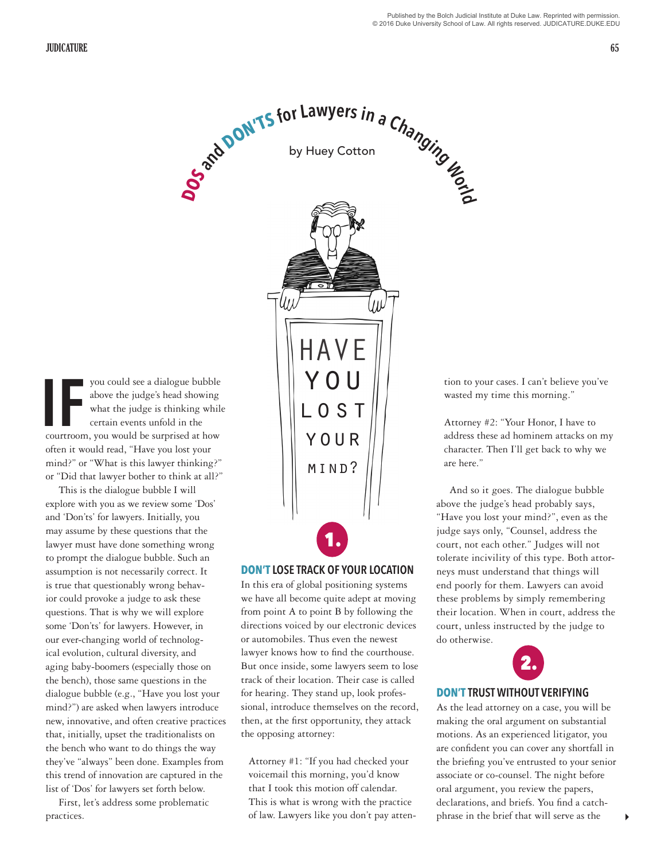you could see a dialogue bubble above the judge's head showing what the judge is thinking while certain events unfold in the you could see a dialogue bubble<br>above the judge's head showing<br>what the judge is thinking while<br>certain events unfold in the<br>courtroom, you would be surprised at how often it would read, "Have you lost your mind?" or "What is this lawyer thinking?"

or "Did that lawyer bother to think at all?" This is the dialogue bubble I will explore with you as we review some 'Dos' and 'Don'ts' for lawyers. Initially, you may assume by these questions that the lawyer must have done something wrong to prompt the dialogue bubble. Such an assumption is not necessarily correct. It is true that questionably wrong behavior could provoke a judge to ask these questions. That is why we will explore some 'Don'ts' for lawyers. However, in our ever-changing world of technological evolution, cultural diversity, and aging baby-boomers (especially those on the bench), those same questions in the dialogue bubble (e.g., "Have you lost your mind?") are asked when lawyers introduce new, innovative, and often creative practices that, initially, upset the traditionalists on the bench who want to do things the way they've "always" been done. Examples from this trend of innovation are captured in the list of 'Dos' for lawyers set forth below.

First, let's address some problematic practices.



### **DON'T LOSE TRACK OF YOUR LOCATION**

In this era of global positioning systems we have all become quite adept at moving from point A to point B by following the directions voiced by our electronic devices or automobiles. Thus even the newest lawyer knows how to find the courthouse. But once inside, some lawyers seem to lose track of their location. Their case is called for hearing. They stand up, look professional, introduce themselves on the record, then, at the first opportunity, they attack the opposing attorney:

Attorney #1: "If you had checked your voicemail this morning, you'd know that I took this motion off calendar. This is what is wrong with the practice of law. Lawyers like you don't pay attention to your cases. I can't believe you've wasted my time this morning."

Attorney #2: "Your Honor, I have to address these ad hominem attacks on my character. Then I'll get back to why we are here."

And so it goes. The dialogue bubble above the judge's head probably says, "Have you lost your mind?", even as the judge says only, "Counsel, address the court, not each other." Judges will not tolerate incivility of this type. Both attorneys must understand that things will end poorly for them. Lawyers can avoid these problems by simply remembering their location. When in court, address the court, unless instructed by the judge to do otherwise.



#### **DON'T TRUST WITHOUT VERIFYING**

As the lead attorney on a case, you will be making the oral argument on substantial motions. As an experienced litigator, you are confident you can cover any shortfall in the briefing you've entrusted to your senior associate or co-counsel. The night before oral argument, you review the papers, declarations, and briefs. You find a catchphrase in the brief that will serve as the

4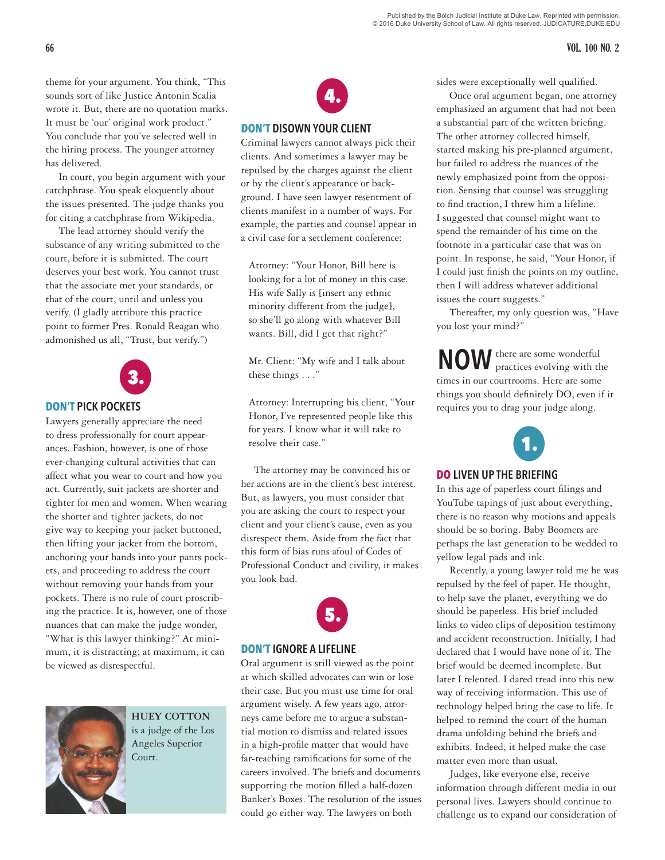# **66 VOL. 100 NO. 2**

theme for your argument. You think, "This sounds sort of like Justice Antonin Scalia wrote it. But, there are no quotation marks. It must be 'our' original work product." You conclude that you've selected well in the hiring process. The younger attorney has delivered.

In court, you begin argument with your catchphrase. You speak eloquently about the issues presented. The judge thanks you for citing a catchphrase from Wikipedia.

The lead attorney should verify the substance of any writing submitted to the court, before it is submitted. The court deserves your best work. You cannot trust that the associate met your standards, or that of the court, until and unless you verify. (I gladly attribute this practice point to former Pres. Ronald Reagan who admonished us all, "Trust, but verify.")



## **DON'T PICK POCKETS**

Lawyers generally appreciate the need to dress professionally for court appearances. Fashion, however, is one of those ever-changing cultural activities that can affect what you wear to court and how you act. Currently, suit jackets are shorter and tighter for men and women. When wearing the shorter and tighter jackets, do not give way to keeping your jacket buttoned, then lifting your jacket from the bottom, anchoring your hands into your pants pockets, and proceeding to address the court without removing your hands from your pockets. There is no rule of court proscribing the practice. It is, however, one of those nuances that can make the judge wonder, "What is this lawyer thinking?" At minimum, it is distracting; at maximum, it can be viewed as disrespectful.



**HUEY COTTON** is a judge of the Los Angeles Superior Court.



### **DON'T DISOWN YOUR CLIENT**

Criminal lawyers cannot always pick their clients. And sometimes a lawyer may be repulsed by the charges against the client or by the client's appearance or background. I have seen lawyer resentment of clients manifest in a number of ways. For example, the parties and counsel appear in a civil case for a settlement conference:

Attorney: "Your Honor, Bill here is looking for a lot of money in this case. His wife Sally is [insert any ethnic minority different from the judge], so she'll go along with whatever Bill wants. Bill, did I get that right?"

Mr. Client: "My wife and I talk about these things . . ."

Attorney: Interrupting his client, "Your Honor, I've represented people like this for years. I know what it will take to resolve their case."

The attorney may be convinced his or her actions are in the client's best interest. But, as lawyers, you must consider that you are asking the court to respect your client and your client's cause, even as you disrespect them. Aside from the fact that this form of bias runs afoul of Codes of Professional Conduct and civility, it makes you look bad.



## **DON'T IGNORE A LIFELINE**

Oral argument is still viewed as the point at which skilled advocates can win or lose their case. But you must use time for oral argument wisely. A few years ago, attorneys came before me to argue a substantial motion to dismiss and related issues in a high-profile matter that would have far-reaching ramifications for some of the careers involved. The briefs and documents supporting the motion filled a half-dozen Banker's Boxes. The resolution of the issues could go either way. The lawyers on both

sides were exceptionally well qualified.

Once oral argument began, one attorney emphasized an argument that had not been a substantial part of the written briefing. The other attorney collected himself, started making his pre-planned argument, but failed to address the nuances of the newly emphasized point from the opposition. Sensing that counsel was struggling to find traction, I threw him a lifeline. I suggested that counsel might want to spend the remainder of his time on the footnote in a particular case that was on point. In response, he said, "Your Honor, if I could just finish the points on my outline, then I will address whatever additional issues the court suggests."

Thereafter, my only question was, "Have you lost your mind?"

there are some wonderful **NOW** there are some wonderful<br>practices evolving with the times in our courtrooms. Here are some things you should definitely DO, even if it requires you to drag your judge along.



# **DO LIVEN UP THE BRIEFING**

In this age of paperless court filings and YouTube tapings of just about everything, there is no reason why motions and appeals should be so boring. Baby Boomers are perhaps the last generation to be wedded to yellow legal pads and ink.

Recently, a young lawyer told me he was repulsed by the feel of paper. He thought, to help save the planet, everything we do should be paperless. His brief included links to video clips of deposition testimony and accident reconstruction. Initially, I had declared that I would have none of it. The brief would be deemed incomplete. But later I relented. I dared tread into this new way of receiving information. This use of technology helped bring the case to life. It helped to remind the court of the human drama unfolding behind the briefs and exhibits. Indeed, it helped make the case matter even more than usual.

Judges, like everyone else, receive information through different media in our personal lives. Lawyers should continue to challenge us to expand our consideration of